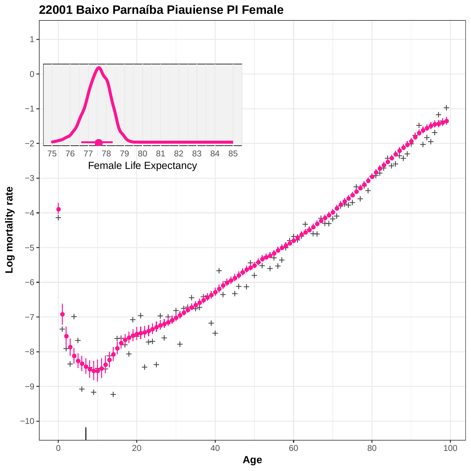

### **22001 Baixo Parnaíba Piauiense PI Female**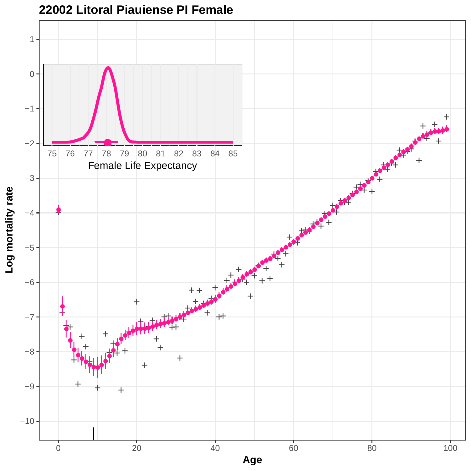

#### **22002 Litoral Piauiense PI Female**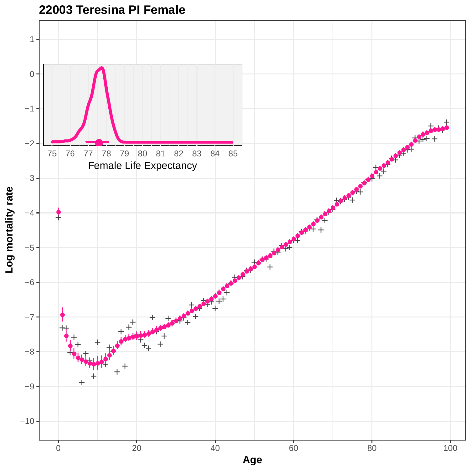

# **22003 Teresina PI Female**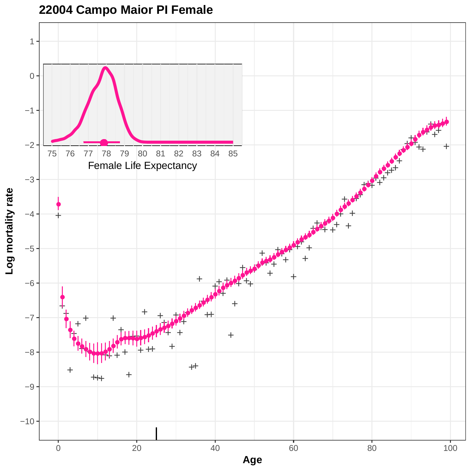

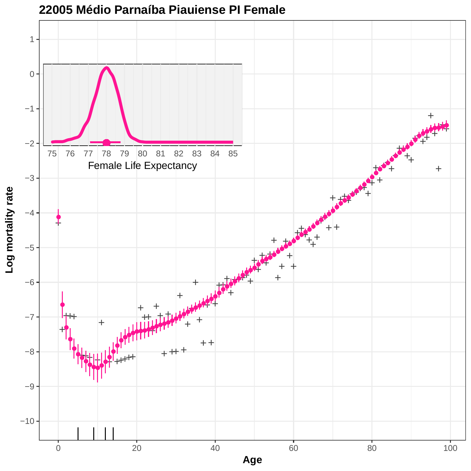

**<sup>22005</sup> Médio Parnaíba Piauiense PI Female**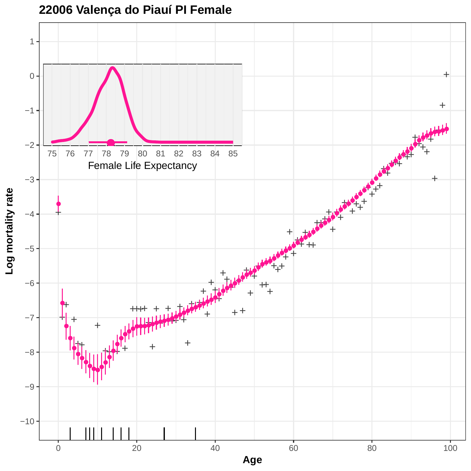

### **22006 Valença do Piauí PI Female**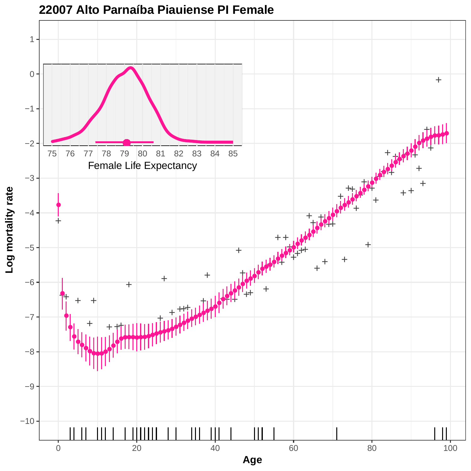

**22007 Alto Parnaíba Piauiense PI Female**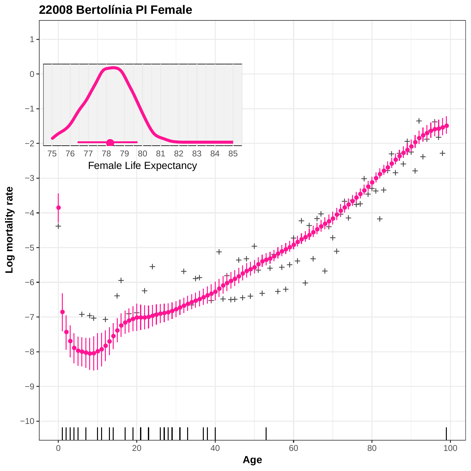

**22008 Bertolínia PI Female**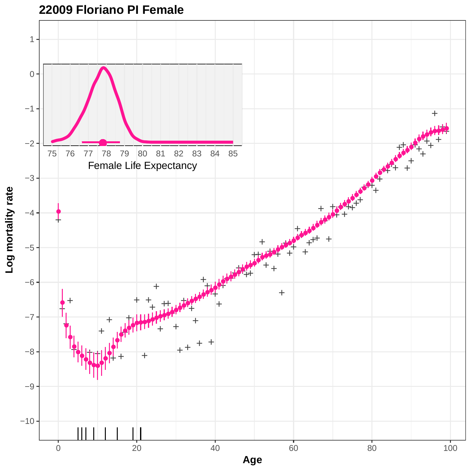

**22009 Floriano PI Female**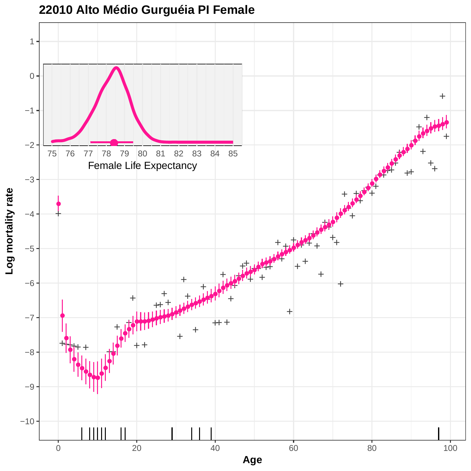

**22010 Alto Médio Gurguéia PI Female**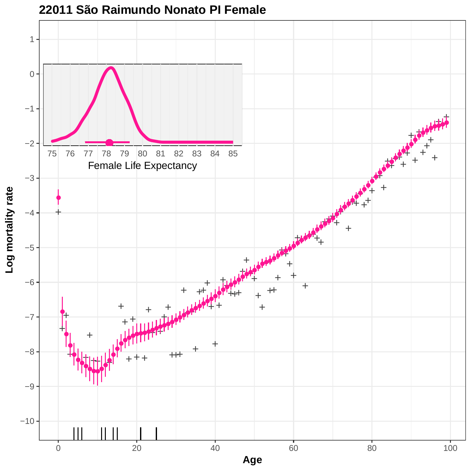

# **22011 São Raimundo Nonato PI Female**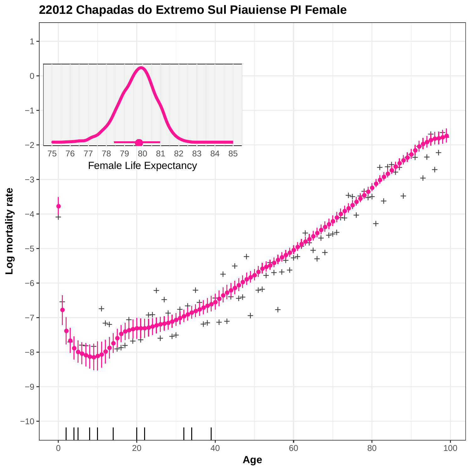

**22012 Chapadas do Extremo Sul Piauiense PI Female**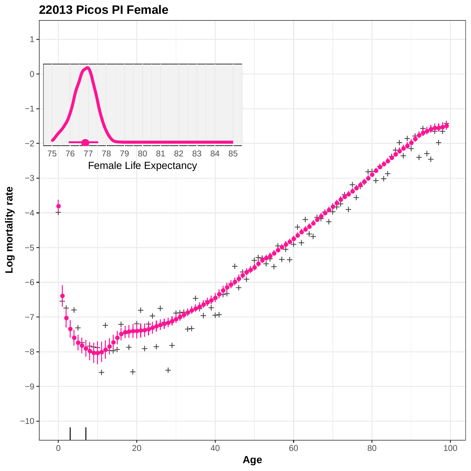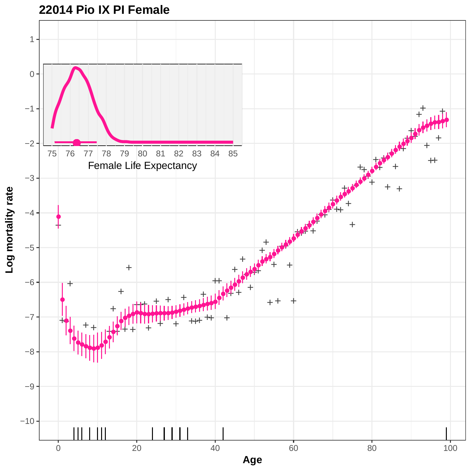

### **22014 Pio IX PI Female**